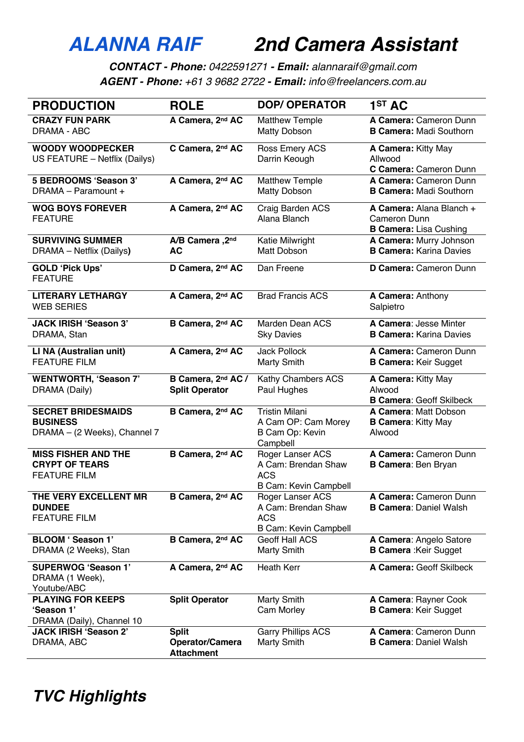## *ALANNA RAIF 2nd Camera Assistant*

*CONTACT - Phone: 0422591271 - Email: alannaraif@gmail.com AGENT - Phone: +61 3 9682 2722 - Email: info@freelancers.com.au*

| <b>PRODUCTION</b>                                                            | <b>ROLE</b>                                          | <b>DOP/ OPERATOR</b>                                                                  | 1 <sup>ST</sup> AC                                                        |
|------------------------------------------------------------------------------|------------------------------------------------------|---------------------------------------------------------------------------------------|---------------------------------------------------------------------------|
| <b>CRAZY FUN PARK</b><br>DRAMA - ABC                                         | A Camera, 2nd AC                                     | <b>Matthew Temple</b><br><b>Matty Dobson</b>                                          | A Camera: Cameron Dunn<br><b>B Camera: Madi Southorn</b>                  |
| <b>WOODY WOODPECKER</b><br>US FEATURE - Netflix (Dailys)                     | C Camera, 2nd AC                                     | Ross Emery ACS<br>Darrin Keough                                                       | A Camera: Kitty May<br>Allwood<br>C Camera: Cameron Dunn                  |
| 5 BEDROOMS 'Season 3'<br>DRAMA - Paramount +                                 | A Camera, 2nd AC                                     | <b>Matthew Temple</b><br><b>Matty Dobson</b>                                          | A Camera: Cameron Dunn<br><b>B Camera: Madi Southorn</b>                  |
| <b>WOG BOYS FOREVER</b><br><b>FEATURE</b>                                    | A Camera, 2nd AC                                     | Craig Barden ACS<br>Alana Blanch                                                      | A Camera: Alana Blanch +<br>Cameron Dunn<br><b>B Camera:</b> Lisa Cushing |
| <b>SURVIVING SUMMER</b><br>DRAMA - Netflix (Dailys)                          | A/B Camera, 2nd<br>AC                                | Katie Milwright<br>Matt Dobson                                                        | A Camera: Murry Johnson<br><b>B Camera: Karina Davies</b>                 |
| <b>GOLD 'Pick Ups'</b><br><b>FEATURE</b>                                     | D Camera, 2nd AC                                     | Dan Freene                                                                            | D Camera: Cameron Dunn                                                    |
| <b>LITERARY LETHARGY</b><br><b>WEB SERIES</b>                                | A Camera, 2nd AC                                     | <b>Brad Francis ACS</b>                                                               | A Camera: Anthony<br>Salpietro                                            |
| <b>JACK IRISH 'Season 3'</b><br>DRAMA, Stan                                  | B Camera, 2nd AC                                     | Marden Dean ACS<br><b>Sky Davies</b>                                                  | A Camera: Jesse Minter<br><b>B Camera: Karina Davies</b>                  |
| LI NA (Australian unit)<br><b>FEATURE FILM</b>                               | A Camera, 2nd AC                                     | <b>Jack Pollock</b><br>Marty Smith                                                    | A Camera: Cameron Dunn<br><b>B Camera: Keir Sugget</b>                    |
| <b>WENTWORTH, 'Season 7'</b><br>DRAMA (Daily)                                | B Camera, 2nd AC /<br><b>Split Operator</b>          | Kathy Chambers ACS<br>Paul Hughes                                                     | A Camera: Kitty May<br>Alwood<br><b>B Camera: Geoff Skilbeck</b>          |
| <b>SECRET BRIDESMAIDS</b><br><b>BUSINESS</b><br>DRAMA - (2 Weeks), Channel 7 | B Camera, 2nd AC                                     | <b>Tristin Milani</b><br>A Cam OP: Cam Morey<br>B Cam Op: Kevin<br>Campbell           | A Camera: Matt Dobson<br><b>B Camera: Kitty May</b><br>Alwood             |
| <b>MISS FISHER AND THE</b><br><b>CRYPT OF TEARS</b><br><b>FEATURE FILM</b>   | B Camera, 2nd AC                                     | Roger Lanser ACS<br>A Cam: Brendan Shaw<br><b>ACS</b><br><b>B Cam: Kevin Campbell</b> | A Camera: Cameron Dunn<br><b>B Camera: Ben Bryan</b>                      |
| THE VERY EXCELLENT MR<br><b>DUNDEE</b><br><b>FEATURE FILM</b>                | B Camera, 2nd AC                                     | Roger Lanser ACS<br>A Cam: Brendan Shaw<br><b>ACS</b><br><b>B Cam: Kevin Campbell</b> | A Camera: Cameron Dunn<br><b>B Camera: Daniel Walsh</b>                   |
| BLOOM ' Season 1'<br>DRAMA (2 Weeks), Stan                                   | B Camera, 2nd AC                                     | <b>Geoff Hall ACS</b><br>Marty Smith                                                  | A Camera: Angelo Satore<br><b>B Camera: Keir Sugget</b>                   |
| <b>SUPERWOG 'Season 1'</b><br>DRAMA (1 Week),<br>Youtube/ABC                 | A Camera, 2nd AC                                     | <b>Heath Kerr</b>                                                                     | A Camera: Geoff Skilbeck                                                  |
| <b>PLAYING FOR KEEPS</b><br>'Season 1'<br>DRAMA (Daily), Channel 10          | <b>Split Operator</b>                                | Marty Smith<br>Cam Morley                                                             | A Camera: Rayner Cook<br><b>B Camera: Keir Sugget</b>                     |
| <b>JACK IRISH 'Season 2'</b><br>DRAMA, ABC                                   | <b>Split</b><br>Operator/Camera<br><b>Attachment</b> | <b>Garry Phillips ACS</b><br>Marty Smith                                              | A Camera: Cameron Dunn<br><b>B Camera: Daniel Walsh</b>                   |

*TVC Highlights*